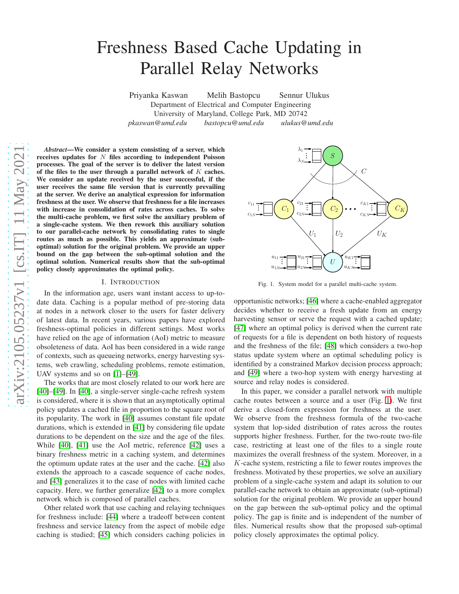# Freshness Based Cache Updating in Parallel Relay Networks

Priyanka Kaswan Melih Bastopcu Sennur Ulukus Department of Electrical and Computer Engineering University of Maryland, College Park, MD 20742 *pkaswan@umd.edu bastopcu@umd.edu ulukus@umd.edu*

*Abstract*—We consider a system consisting of a server, which receives updates for  $N$  files according to independent Poisson processes. The goal of the server is to deliver the latest version of the files to the user through a parallel network of  $K$  caches. We consider an update received by the user successful, if the user receives the same file version that is currently prevailing at the server. We derive an analytical expression for information freshness at the user. We observe that freshness for a file increases with increase in consolidation of rates across caches. To solve the multi-cache problem, we first solve the auxiliary problem of a single-cache system. We then rework this auxiliary solution to our parallel-cache network by consolidating rates to single routes as much as possible. This yields an approximate (suboptimal) solution for the original problem. We provide an upper bound on the gap between the sub-optimal solution and the optimal solution. Numerical results show that the sub-optimal policy closely approximates the optimal policy.

#### I. INTRODUCTION

In the information age, users want instant access to up-todate data. Caching is a popular method of pre-storing data at nodes in a network closer to the users for faster delivery of latest data. In recent years, various papers have explored freshness-optimal policies in different settings. Most works have relied on the age of information (AoI) metric to measure obsoleteness of data. AoI has been considered in a wide range of contexts, such as queueing networks, energy harvesting systems, web crawling, scheduling problems, remote estimation, UAV systems and so on [\[1\]](#page-5-0)–[\[49\]](#page-5-1).

The works that are most closely related to our work here are [\[40\]](#page-5-2)–[\[49\]](#page-5-1). In [\[40\]](#page-5-2), a single-server single-cache refresh system is considered, where it is shown that an asymptotically optimal policy updates a cached file in proportion to the square root of its popularity. The work in [\[40\]](#page-5-2) assumes constant file update durations, which is extended in [\[41\]](#page-5-3) by considering file update durations to be dependent on the size and the age of the files. While [\[40\]](#page-5-2), [\[41\]](#page-5-3) use the AoI metric, reference [\[42\]](#page-5-4) uses a binary freshness metric in a caching system, and determines the optimum update rates at the user and the cache. [\[42\]](#page-5-4) also extends the approach to a cascade sequence of cache nodes, and [\[43\]](#page-5-5) generalizes it to the case of nodes with limited cache capacity. Here, we further generalize [\[42\]](#page-5-4) to a more complex network which is composed of parallel caches.

Other related work that use caching and relaying techniques for freshness include: [\[44\]](#page-5-6) where a tradeoff between content freshness and service latency from the aspect of mobile edge caching is studied; [\[45\]](#page-5-7) which considers caching policies in



<span id="page-0-0"></span>Fig. 1. System model for a parallel multi-cache system.

opportunistic networks; [\[46\]](#page-5-8) where a cache-enabled aggregator decides whether to receive a fresh update from an energy harvesting sensor or serve the request with a cached update; [\[47\]](#page-5-9) where an optimal policy is derived when the current rate of requests for a file is dependent on both history of requests and the freshness of the file; [\[48\]](#page-5-10) which considers a two-hop status update system where an optimal scheduling policy is identified by a constrained Markov decision process approach; and [\[49\]](#page-5-1) where a two-hop system with energy harvesting at source and relay nodes is considered.

In this paper, we consider a parallel network with multiple cache routes between a source and a user (Fig. [1\)](#page-0-0). We first derive a closed-form expression for freshness at the user. We observe from the freshness formula of the two-cache system that lop-sided distribution of rates across the routes supports higher freshness. Further, for the two-route two-file case, restricting at least one of the files to a single route maximizes the overall freshness of the system. Moreover, in a K-cache system, restricting a file to fewer routes improves the freshness. Motivated by these properties, we solve an auxiliary problem of a single-cache system and adapt its solution to our parallel-cache network to obtain an approximate (sub-optimal) solution for the original problem. We provide an upper bound on the gap between the sub-optimal policy and the optimal policy. The gap is finite and is independent of the number of files. Numerical results show that the proposed sub-optimal policy closely approximates the optimal policy.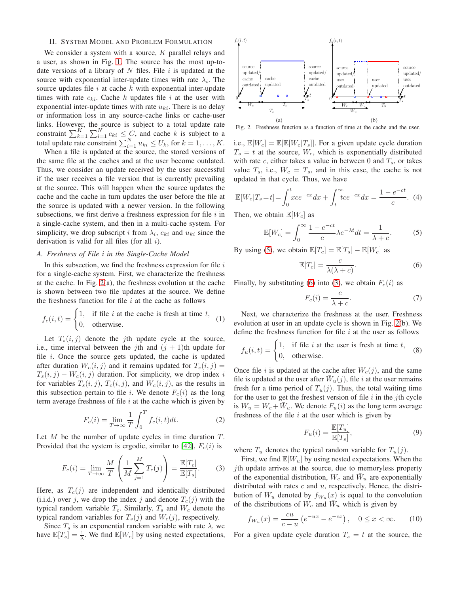# <span id="page-1-6"></span>II. SYSTEM MODEL AND PROBLEM FORMULATION

We consider a system with a source,  $K$  parallel relays and a user, as shown in Fig. [1.](#page-0-0) The source has the most up-todate versions of a library of N files. File i is updated at the source with exponential inter-update times with rate  $\lambda_i$ . The source updates file  $i$  at cache  $k$  with exponential inter-update times with rate  $c_{ki}$ . Cache k updates file i at the user with exponential inter-update times with rate  $u_{ki}$ . There is no delay or information loss in any source-cache links or cache-user links. However, the source is subject to a total update rate constraint  $\sum_{k=1}^{K} \sum_{i=1}^{N} c_{ki} \leq C$ , and cache k is subject to a total update rate constraint  $\sum_{i=1}^{N} u_{ki} \leq U_k$ , for  $k = 1, \ldots, K$ .

When a file is updated at the source, the stored versions of the same file at the caches and at the user become outdated. Thus, we consider an update received by the user successful if the user receives a file version that is currently prevailing at the source. This will happen when the source updates the cache and the cache in turn updates the user before the file at the source is updated with a newer version. In the following subsections, we first derive a freshness expression for file  $i$  in a single-cache system, and then in a multi-cache system. For simplicity, we drop subscript i from  $\lambda_i$ ,  $c_{ki}$  and  $u_{ki}$  since the derivation is valid for all files (for all i).

#### *A. Freshness of File* i *in the Single-Cache Model*

In this subsection, we find the freshness expression for file  $i$ for a single-cache system. First, we characterize the freshness at the cache. In Fig. [2\(](#page-1-0)a), the freshness evolution at the cache is shown between two file updates at the source. We define the freshness function for file  $i$  at the cache as follows

$$
f_c(i, t) = \begin{cases} 1, & \text{if file } i \text{ at the cache is fresh at time } t, \\ 0, & \text{otherwise.} \end{cases}
$$
 (1)

Let  $T_s(i, j)$  denote the jth update cycle at the source, i.e., time interval between the jth and  $(j + 1)$ th update for file  $i$ . Once the source gets updated, the cache is updated after duration  $W_c(i, j)$  and it remains updated for  $T_c(i, j) =$  $T_s(i, j) - W_c(i, j)$  duration. For simplicity, we drop index i for variables  $T_s(i, j)$ ,  $T_c(i, j)$ , and  $W_c(i, j)$ , as the results in this subsection pertain to file i. We denote  $F_c(i)$  as the long term average freshness of file  $i$  at the cache which is given by

$$
F_c(i) = \lim_{T \to \infty} \frac{1}{T} \int_0^T f_c(i, t) dt.
$$
 (2)

Let  $M$  be the number of update cycles in time duration  $T$ . Provided that the system is ergodic, similar to [\[42\]](#page-5-4),  $F_c(i)$  is

$$
F_c(i) = \lim_{T \to \infty} \frac{M}{T} \left( \frac{1}{M} \sum_{j=1}^{M} T_c(j) \right) = \frac{\mathbb{E}[T_c]}{\mathbb{E}[T_s]}.
$$
 (3)

Here, as  $T_c(j)$  are independent and identically distributed (i.i.d.) over j, we drop the index j and denote  $T_c(j)$  with the typical random variable  $T_c$ . Similarly,  $T_s$  and  $W_c$  denote the typical random variables for  $T_s(j)$  and  $W_c(j)$ , respectively.

Since  $T_s$  is an exponential random variable with rate  $\lambda$ , we have  $\mathbb{E}[T_s] = \frac{1}{\lambda}$ . We find  $\mathbb{E}[W_c]$  by using nested expectations,



<span id="page-1-0"></span>Fig. 2. Freshness function as a function of time at the cache and the user.

i.e.,  $\mathbb{E}[W_c] = \mathbb{E}[\mathbb{E}[W_c|T_s]]$ . For a given update cycle duration  $T_s = t$  at the source,  $W_c$ , which is exponentially distributed with rate c, either takes a value in between 0 and  $T_s$ , or takes value  $T_s$ , i.e.,  $W_c = T_s$ , and in this case, the cache is not updated in that cycle. Thus, we have

$$
\mathbb{E}[W_c|T_s = t] = \int_0^t xce^{-cx} dx + \int_t^\infty tce^{-cx} dx = \frac{1 - e^{-ct}}{c}.
$$
 (4)

Then, we obtain  $\mathbb{E}[W_c]$  as

$$
\mathbb{E}[W_c] = \int_0^\infty \frac{1 - e^{-ct}}{c} \lambda e^{-\lambda t} dt = \frac{1}{\lambda + c}.
$$
 (5)

By using [\(5\)](#page-1-1), we obtain  $\mathbb{E}[T_c] = \mathbb{E}[T_s] - \mathbb{E}[W_c]$  as

<span id="page-1-1"></span>
$$
\mathbb{E}[T_c] = \frac{c}{\lambda(\lambda + c)}.\tag{6}
$$

Finally, by substituting [\(6\)](#page-1-2) into [\(3\)](#page-1-3), we obtain  $F_c(i)$  as

<span id="page-1-2"></span>
$$
F_c(i) = \frac{c}{\lambda + c}.\tag{7}
$$

Next, we characterize the freshness at the user. Freshness evolution at user in an update cycle is shown in Fig. [2\(](#page-1-0)b). We define the freshness function for file  $i$  at the user as follows

$$
f_u(i,t) = \begin{cases} 1, & \text{if file } i \text{ at the user is fresh at time } t, \\ 0, & \text{otherwise.} \end{cases}
$$
 (8)

Once file i is updated at the cache after  $W_c(j)$ , and the same file is updated at the user after  $\bar{W}_u(j)$ , file i at the user remains fresh for a time period of  $T_u(j)$ . Thus, the total waiting time for the user to get the freshest version of file  $i$  in the jth cycle is  $W_u = W_c + \overline{W}_u$ . We denote  $F_u(i)$  as the long term average freshness of the file  $i$  at the user which is given by

<span id="page-1-5"></span><span id="page-1-4"></span>
$$
F_u(i) = \frac{\mathbb{E}[T_u]}{\mathbb{E}[T_s]},\tag{9}
$$

where  $T_u$  denotes the typical random variable for  $T_u(j)$ .

<span id="page-1-3"></span>First, we find  $\mathbb{E}[W_u]$  by using nested expectations. When the jth update arrives at the source, due to memoryless property of the exponential distribution,  $W_c$  and  $\bar{W}_u$  are exponentially distributed with rates  $c$  and  $u$ , respectively. Hence, the distribution of  $W_u$  denoted by  $f_{W_u}(x)$  is equal to the convolution of the distributions of  $W_c$  and  $\overline{W}_u$  which is given by

$$
f_{W_u}(x) = \frac{cu}{c - u} \left( e^{-ux} - e^{-cx} \right), \quad 0 \le x < \infty.
$$
 (10)

For a given update cycle duration  $T_s = t$  at the source, the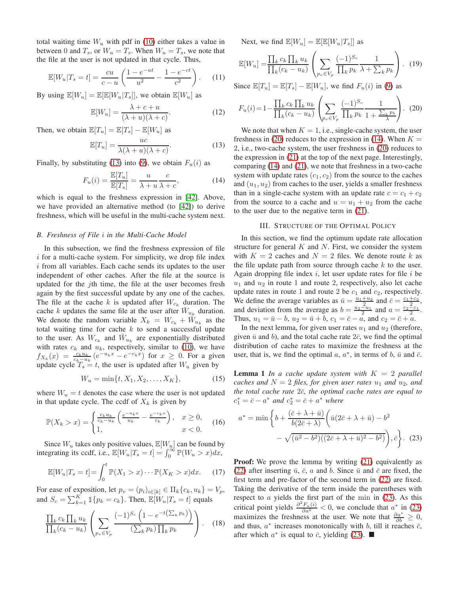total waiting time  $W_u$  with pdf in [\(10\)](#page-1-4) either takes a value in between 0 and  $T_s$ , or  $W_u = T_s$ . When  $W_u = T_s$ , we note that the file at the user is not updated in that cycle. Thus,

$$
\mathbb{E}[W_u|T_s = t] = \frac{cu}{c - u} \left( \frac{1 - e^{-ut}}{u^2} - \frac{1 - e^{-ct}}{c^2} \right). \tag{11}
$$

By using  $\mathbb{E}[W_u] = \mathbb{E}[\mathbb{E}[W_u|T_s]]$ , we obtain  $\mathbb{E}[W_u]$  as

$$
\mathbb{E}[W_u] = \frac{\lambda + c + u}{(\lambda + u)(\lambda + c)}.
$$
 (12)

Then, we obtain  $\mathbb{E}[T_u] = \mathbb{E}[T_s] - \mathbb{E}[W_u]$  as

$$
\mathbb{E}[T_u] = \frac{uc}{\lambda(\lambda + u)(\lambda + c)}.
$$
 (13)

Finally, by substituting [\(13\)](#page-2-0) into [\(9\)](#page-1-5), we obtain  $F_u(i)$  as

$$
F_u(i) = \frac{\mathbb{E}[T_u]}{\mathbb{E}[T_s]} = \frac{u}{\lambda + u} \frac{c}{\lambda + c},\tag{14}
$$

which is equal to the freshness expression in [\[42\]](#page-5-4). Above, we have provided an alternative method (to [\[42\]](#page-5-4)) to derive freshness, which will be useful in the multi-cache system next.

#### *B. Freshness of File* i *in the Multi-Cache Model*

In this subsection, we find the freshness expression of file i for a multi-cache system. For simplicity, we drop file index i from all variables. Each cache sends its updates to the user independent of other caches. After the file at the source is updated for the  $j$ th time, the file at the user becomes fresh again by the first successful update by any one of the caches. The file at the cache k is updated after  $W_{c_k}$  duration. The cache k updates the same file at the user after  $\bar{W}_{u_k}$  duration. We denote the random variable  $X_k = W_{c_k} + \tilde{W}_{u_k}$  as the total waiting time for cache  $k$  to send a successful update to the user. As  $W_{c_k}$  and  $\bar{W}_{u_k}$  are exponentially distributed with rates  $c_k$  and  $u_k$ , respectively, similar to [\(10\)](#page-1-4), we have  $f_{X_k}(x) = \frac{c_k u_k}{c_k - u_k} (e^{-u_k x} - e^{-c_k x})$  for  $x \ge 0$ . For a given update cycle  $T_s = t$ , the user is updated after  $W_u$  given by

$$
W_u = \min\{t, X_1, X_2, \dots, X_K\},\tag{15}
$$

where  $W_u = t$  denotes the case where the user is not updated in that update cycle. The ccdf of  $X_k$  is given by

$$
\mathbb{P}(X_k > x) = \begin{cases} \frac{c_k u_k}{c_k - u_k} \left( \frac{e^{-u_k x}}{u_k} - \frac{e^{-c_k x}}{c_k} \right), & x \ge 0, \\ 1, & x < 0. \end{cases}
$$
(16)

Since  $W_u$  takes only positive values,  $\mathbb{E}[W_u]$  can be found by integrating its ccdf, i.e.,  $\mathbb{E}[W_u|T_s = t] = \int_0^\infty \mathbb{P}(W_u > x) dx$ ,

$$
\mathbb{E}[W_u|T_s=t] = \int_0^t \mathbb{P}(X_1 > x) \cdots \mathbb{P}(X_K > x) dx.
$$
 (17)

For ease of exposition, let  $p_v = (p_i)_{i \in [k]} \in \Pi_k \{c_k, u_k\} = V_p$ , and  $S_c = \sum_{k=1}^{K} \mathbb{1}{p_k = c_k}$ . Then,  $\mathbb{E}[W_u | T_s = t]$  equals

$$
\frac{\prod_{k} c_{k} \prod_{k} u_{k}}{\prod_{k} (c_{k} - u_{k})} \left( \sum_{p_{v} \in V_{p}} \frac{(-1)^{S_{c}} \left(1 - e^{-t \left(\sum_{k} p_{k}\right)}\right)}{\left(\sum_{k} p_{k}\right) \prod_{k} p_{k}} \right). \quad (18)
$$

Next, we find  $\mathbb{E}[W_u] = \mathbb{E}[\mathbb{E}[W_u|T_s]]$  as

$$
\mathbb{E}[W_u] = \frac{\prod_k c_k \prod_k u_k}{\prod_k (c_k - u_k)} \left( \sum_{p_v \in V_p} \frac{(-1)^{S_c}}{\prod_k p_k} \frac{1}{\lambda + \sum_k p_k} \right). \tag{19}
$$

Since  $\mathbb{E}[T_u] = \mathbb{E}[T_s] - \mathbb{E}[W_u]$ , we find  $F_u(i)$  in [\(9\)](#page-1-5) as

<span id="page-2-1"></span>
$$
F_u(i) = 1 - \frac{\prod_k c_k \prod_k u_k}{\prod_k (c_k - u_k)} \left( \sum_{p_v \in V_p} \frac{(-1)^{S_c}}{\prod_k p_k} \frac{1}{1 + \frac{\sum_k p_k}{\lambda}} \right). (20)
$$

<span id="page-2-2"></span><span id="page-2-0"></span>We note that when  $K = 1$ , i.e., single-cache system, the user freshness in [\(20\)](#page-2-1) reduces to the expression in [\(14\)](#page-2-2). When  $K =$ 2, i.e., two-cache system, the user freshness in [\(20\)](#page-2-1) reduces to the expression in [\(21\)](#page-3-0) at the top of the next page. Interestingly, comparing [\(14\)](#page-2-2) and [\(21\)](#page-3-0), we note that freshness in a two-cache system with update rates  $(c_1, c_2)$  from the source to the caches and  $(u_1, u_2)$  from caches to the user, yields a smaller freshness than in a single-cache system with an update rate  $c = c_1 + c_2$ from the source to a cache and  $u = u_1 + u_2$  from the cache to the user due to the negative term in [\(21\)](#page-3-0).

# III. STRUCTURE OF THE OPTIMAL POLICY

In this section, we find the optimum update rate allocation structure for general  $K$  and  $N$ . First, we consider the system with  $K = 2$  caches and  $N = 2$  files. We denote route k as the file update path from source through cache  $k$  to the user. Again dropping file index  $i$ , let user update rates for file  $i$  be  $u_1$  and  $u_2$  in route 1 and route 2, respectively, also let cache update rates in route 1 and route 2 be  $c_1$  and  $c_2$ , respectively. We define the average variables as  $\bar{u} = \frac{u_1 + u_2}{2}$  and  $\bar{c} = \frac{c_1 + c_2}{2}$ , and deviation from the average as  $b = \frac{u_2 - u_1}{2}$  and  $a = \frac{c_2 - c_1}{2}$ . Thus,  $u_1 = \bar{u} - b$ ,  $u_2 = \bar{u} + b$ ,  $c_1 = \bar{c} - a$ , and  $c_2 = \bar{c} + a$ .

In the next lemma, for given user rates  $u_1$  and  $u_2$  (therefore, given  $\bar{u}$  and b), and the total cache rate  $2\bar{c}$ , we find the optimal distribution of cache rates to maximize the freshness at the user, that is, we find the optimal  $a, a^*$ , in terms of  $b, \bar{u}$  and  $\bar{c}$ .

**Lemma 1** *In a cache update system with*  $K = 2$  *parallel caches and*  $N = 2$  *files, for given user rates*  $u_1$  *and*  $u_2$ *, and the total cache rate*  $2\bar{c}$ *, the optimal cache rates are equal to*  $c_1^* = \bar{c} - a^*$  *and*  $c_2^* = \bar{c} + a^*$  *where* 

<span id="page-2-3"></span>
$$
a^* = \min\left\{b + \frac{(\bar{c} + \lambda + \bar{u})}{b(2\bar{c} + \lambda)} \left(\bar{u}(2\bar{c} + \lambda + \bar{u}) - b^2 - \sqrt{(\bar{u}^2 - b^2)((2\bar{c} + \lambda + \bar{u})^2 - b^2)}\right), \bar{c}\right\}.
$$
 (23)

Proof: We prove the lemma by writing [\(21\)](#page-3-0) equivalently as [\(22\)](#page-3-1) after inserting  $\bar{u}$ ,  $\bar{c}$ , a and b. Since  $\bar{u}$  and  $\bar{c}$  are fixed, the first term and pre-factor of the second term in [\(22\)](#page-3-1) are fixed. Taking the derivative of the term inside the parentheses with respect to  $a$  yields the first part of the min in  $(23)$ . As this critical point yields  $\frac{\partial^2 F_u(i)}{\partial a^2} < 0$ , we conclude that  $a^*$  in [\(23\)](#page-2-3) maximizes the freshness at the user. We note that  $\frac{\partial a^*}{\partial b} \ge 0$ , and thus,  $a^*$  increases monotonically with b, till it reaches  $\bar{c}$ , after which  $a^*$  is equal to  $\bar{c}$ , yielding [\(23\)](#page-2-3).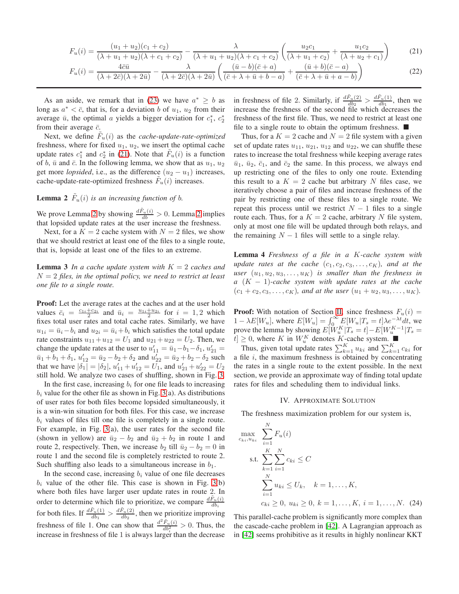$$
F_u(i) = \frac{(u_1 + u_2)(c_1 + c_2)}{(\lambda + u_1 + u_2)(\lambda + c_1 + c_2)} - \frac{\lambda}{(\lambda + u_1 + u_2)(\lambda + c_1 + c_2)} \left(\frac{u_2c_1}{(\lambda + u_1 + c_2)} + \frac{u_1c_2}{(\lambda + u_2 + c_1)}\right)
$$
(21)  

$$
F_u(i) = \frac{4\bar{c}\bar{u}}{(\lambda + 2\bar{c})(\lambda + 2\bar{u})} - \frac{\lambda}{(\lambda + 2\bar{c})(\lambda + 2\bar{u})} \left(\frac{(\bar{u} - b)(\bar{c} + a)}{(\bar{c} + \lambda + \bar{u} + b - a)} + \frac{(\bar{u} + b)(\bar{c} - a)}{(\bar{c} + \lambda + \bar{u} + a - b)}\right)
$$
(22)

As an aside, we remark that in [\(23\)](#page-2-3) we have  $a^* \geq b$  as long as  $a^* < \overline{c}$ , that is, for a deviation b of  $u_1, u_2$  from their average  $\bar{u}$ , the optimal a yields a bigger deviation for  $c_1^*$ ,  $c_2^*$ from their average  $\bar{c}$ .

Next, we define  $\tilde{F}_u(i)$  as the *cache-update-rate-optimized* freshness, where for fixed  $u_1$ ,  $u_2$ , we insert the optimal cache update rates  $c_1^*$  and  $c_2^*$  in [\(21\)](#page-3-0). Note that  $\tilde{F}_u(i)$  is a function of b,  $\bar{u}$  and  $\bar{c}$ . In the following lemma, we show that as  $u_1, u_2$ get more *lopsided*, i.e., as the difference  $(u_2 - u_1)$  increases, cache-update-rate-optimized freshness  $\tilde{F}_u(i)$  increases.

# <span id="page-3-2"></span>**Lemma 2**  $F_u(i)$  is an increasing function of b.

We prove Lemma [2](#page-3-2) by showing  $\frac{d\tilde{F}_u(i)}{db} > 0$ . Lemma 2 implies that lopsided update rates at the user increase the freshness.

Next, for a  $K = 2$  cache system with  $N = 2$  files, we show that we should restrict at least one of the files to a single route, that is, lopside at least one of the files to an extreme.

<span id="page-3-3"></span>**Lemma 3** *In a cache update system with*  $K = 2$  *caches and* N = 2 *files, in the optimal policy, we need to restrict at least one file to a single route.*

Proof: Let the average rates at the caches and at the user hold values  $\bar{c}_i = \frac{c_{1i} + c_{2i}}{2}$  and  $\bar{u}_i = \frac{u_{1i} + u_{2i}}{2}$  for  $i = 1, 2$  which fixes total user rates and total cache rates. Similarly, we have  $u_{1i} = \bar{u}_i - b_i$  and  $u_{2i} = \bar{u}_i + b_i$  which satisfies the total update rate constraints  $u_{11} + u_{12} = U_1$  and  $u_{21} + u_{22} = U_2$ . Then, we change the update rates at the user to  $u'_{11} = \bar{u}_1 - b_1 - \delta_1$ ,  $u'_{21} =$  $\bar{u}_1 + b_1 + \delta_1$ ,  $u'_{12} = \bar{u}_2 - b_2 + \delta_2$  and  $u'_{22} = \bar{u}_2 + b_2 - \delta_2$  such that we have  $|\delta_1| = |\delta_2|$ ,  $u'_{11} + u'_{12} = U_1$ , and  $u'_{21} + u'_{22} = U_2$ still hold. We analyze two cases of shuffling, shown in Fig. [3.](#page-4-0)

In the first case, increasing  $b_i$  for one file leads to increasing  $b_i$  value for the other file as shown in Fig. [3\(](#page-4-0)a). As distributions of user rates for both files become lopsided simultaneously, it is a win-win situation for both files. For this case, we increase  $b_i$  values of files till one file is completely in a single route. For example, in Fig. [3\(](#page-4-0)a), the user rates for the second file (shown in yellow) are  $\bar{u}_2 - b_2$  and  $\bar{u}_2 + b_2$  in route 1 and route 2, respectively. Then, we increase  $b_2$  till  $\bar{u}_2 - b_2 = 0$  in route 1 and the second file is completely restricted to route 2. Such shuffling also leads to a simultaneous increase in  $b_1$ .

In the second case, increasing  $b_i$  value of one file decreases  $b_i$  value of the other file. This case is shown in Fig. [3\(](#page-4-0)b) where both files have larger user update rates in route 2. In order to determine which file to prioritize, we compare  $\frac{dF_u(i)}{db_i}$ for both files. If  $\frac{d\tilde{F}_u(1)}{db_1} > \frac{d\tilde{F}_u(2)}{db_2}$ , then we prioritize improving freshness of file 1. One can show that  $\frac{d^2 \tilde{F}_u(i)}{dh^2}$  $\frac{F_u(t)}{db_i^2} > 0$ . Thus, the increase in freshness of file 1 is always larger than the decrease

<span id="page-3-1"></span><span id="page-3-0"></span>in freshness of file 2. Similarly, if  $\frac{d\tilde{F}_u(2)}{db_2} > \frac{d\tilde{F}_u(1)}{db_1}$ , then we increase the freshness of the second file which decreases the freshness of the first file. Thus, we need to restrict at least one file to a single route to obtain the optimum freshness.  $\blacksquare$ 

Thus, for a  $K = 2$  cache and  $N = 2$  file system with a given set of update rates  $u_{11}$ ,  $u_{21}$ ,  $u_{12}$  and  $u_{22}$ , we can shuffle these rates to increase the total freshness while keeping average rates  $\bar{u}_1$ ,  $\bar{u}_2$ ,  $\bar{c}_1$ , and  $\bar{c}_2$  the same. In this process, we always end up restricting one of the files to only one route. Extending this result to a  $K = 2$  cache but arbitrary N files case, we iteratively choose a pair of files and increase freshness of the pair by restricting one of these files to a single route. We repeat this process until we restrict  $N - 1$  files to a single route each. Thus, for a  $K = 2$  cache, arbitrary N file system, only at most one file will be updated through both relays, and the remaining  $N - 1$  files will settle to a single relay.

<span id="page-3-4"></span>Lemma 4 *Freshness of a file in a* K*-cache system with update rates at the cache*  $(c_1, c_2, c_3, \ldots, c_K)$ *, and at the user*  $(u_1, u_2, u_3, \ldots, u_K)$  *is smaller than the freshness in a* (K − 1)*-cache system with update rates at the cache*  $(c_1 + c_2, c_3, \ldots, c_K)$ , and at the user  $(u_1 + u_2, u_3, \ldots, u_K)$ .

**Proof:** With notation of Section [II,](#page-1-6) since freshness  $F_u(i) = 1 - \lambda E[W_u]$ , where  $E[W_u] = \int_0^\infty E[W_u|T_s = t] \lambda e^{-\lambda t} dt$ , we prove the lemma by showing  $E[W_u^K | T_s = t] - E[W_u^{K-1} | T_s =$  $[t] \geq 0$ , where K in  $W_n^K$  denotes K-cache system.

Thus, given total update rates  $\sum_{k=1}^{K} u_{ki}$  and  $\sum_{k=1}^{K} c_{ki}$  for a file  $i$ , the maximum freshness is obtained by concentrating the rates in a single route to the extent possible. In the next section, we provide an approximate way of finding total update rates for files and scheduling them to individual links.

# <span id="page-3-5"></span>IV. APPROXIMATE SOLUTION

<span id="page-3-6"></span>The freshness maximization problem for our system is,

$$
\max_{c_{ki}, u_{ki}} \sum_{i=1}^{N} F_u(i)
$$
\n
$$
\text{s.t. } \sum_{k=1}^{K} \sum_{i=1}^{N} c_{ki} \le C
$$
\n
$$
\sum_{i=1}^{N} u_{ki} \le U_k, \quad k = 1, ..., K,
$$
\n
$$
c_{ki} \ge 0, \ u_{ki} \ge 0, \ k = 1, ..., K, \ i = 1, ..., N. \tag{24}
$$

This parallel-cache problem is significantly more complex than the cascade-cache problem in [\[42\]](#page-5-4). A Lagrangian approach as in [\[42\]](#page-5-4) seems prohibitive as it results in highly nonlinear KKT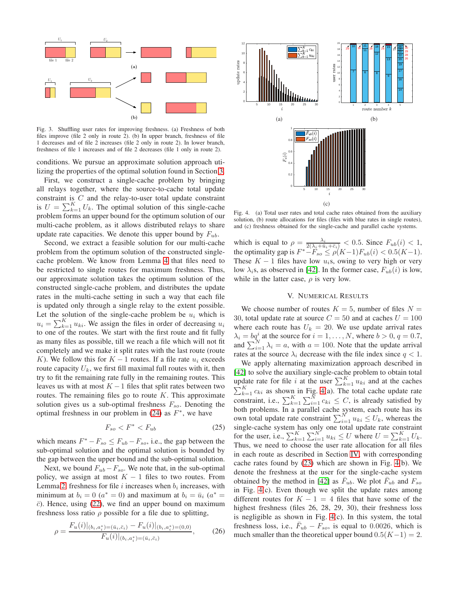

<span id="page-4-0"></span>Fig. 3. Shuffling user rates for improving freshness. (a) Freshness of both files improve (file 2 only in route 2). (b) In upper branch, freshness of file 1 decreases and of file 2 increases (file 2 only in route 2). In lower branch, freshness of file 1 increases and of file 2 decreases (file 1 only in route 2).

conditions. We pursue an approximate solution approach utilizing the properties of the optimal solution found in Section [3.](#page-3-3)

First, we construct a single-cache problem by bringing all relays together, where the source-to-cache total update constraint is  $C$  and the relay-to-user total update constraint is  $U = \sum_{k=1}^{K} U_k$ . The optimal solution of this single-cache problem forms an upper bound for the optimum solution of our multi-cache problem, as it allows distributed relays to share update rate capacities. We denote this upper bound by  $F_{ub}$ .

Second, we extract a feasible solution for our multi-cache problem from the optimum solution of the constructed singlecache problem. We know from Lemma [4](#page-3-4) that files need to be restricted to single routes for maximum freshness. Thus, our approximate solution takes the optimum solution of the constructed single-cache problem, and distributes the update rates in the multi-cache setting in such a way that each file is updated only through a single relay to the extent possible. Let the solution of the single-cache problem be  $u_i$  which is  $u_i = \sum_{k=1}^{K} u_{ki}$ . We assign the files in order of decreasing  $u_i$ to one of the routes. We start with the first route and fit fully as many files as possible, till we reach a file which will not fit completely and we make it split rates with the last route (route K). We follow this for  $K - 1$  routes. If a file rate  $u_i$  exceeds route capacity  $U_k$ , we first fill maximal full routes with it, then try to fit the remaining rate fully in the remaining routes. This leaves us with at most  $K - 1$  files that split rates between two routes. The remaining files go to route  $K$ . This approximate solution gives us a sub-optimal freshness  $F_{so}$ . Denoting the optimal freshness in our problem in  $(24)$  as  $F^*$ , we have

$$
F_{so} < F^* < F_{ub} \tag{25}
$$

which means  $F^* - F_{so} \leq F_{ub} - F_{so}$ , i.e., the gap between the sub-optimal solution and the optimal solution is bounded by the gap between the upper bound and the sub-optimal solution.

Next, we bound  $F_{ub}-F_{so}$ . We note that, in the sub-optimal policy, we assign at most  $K - 1$  files to two routes. From Lemma [2,](#page-3-2) freshness for file i increases when  $b_i$  increases, with minimum at  $b_i = 0$  ( $a^* = 0$ ) and maximum at  $b_i = \bar{u}_i$  ( $a^* =$  $\bar{c}$ ). Hence, using [\(22\)](#page-3-1), we find an upper bound on maximum freshness loss ratio  $\rho$  possible for a file due to splitting,

$$
\rho = \frac{F_u(i)|_{(b_i, a_i^*) = (\bar{u}_i, \bar{c}_i)} - F_u(i)|_{(b_i, a_i^*) = (0, 0)}}{F_u(i)|_{(b_i, a_i^*) = (\bar{u}_i, \bar{c}_i)}},\tag{26}
$$



<span id="page-4-1"></span>Fig. 4. (a) Total user rates and total cache rates obtained from the auxiliary solution, (b) route allocations for files (files with blue rates in single routes), and (c) freshness obtained for the single-cache and parallel cache systems.

which is equal to  $\rho = \frac{\lambda_i}{2(\lambda_i + \bar{u}_i + \bar{c}_i)} < 0.5$ . Since  $F_{ub}(i) < 1$ , the optimality gap is  $F^*$  $-F_{so} \le \rho(K-1)F_{ub}(i) < 0.5(K-1)$ . These  $K - 1$  files have low  $u_i$ s, owing to very high or very low  $\lambda_i$ s, as observed in [\[42\]](#page-5-4). In the former case,  $F_{ub}(i)$  is low, while in the latter case,  $\rho$  is very low.

### V. NUMERICAL RESULTS

We choose number of routes  $K = 5$ , number of files  $N =$ 30, total update rate at source  $C = 50$  and at caches  $U = 100$ where each route has  $U_k = 20$ . We use update arrival rates  $\lambda_i = bq_i^i$  at the source for  $i = 1, ..., N$ , where  $b > 0, q = 0.7$ , and  $\sum_{i=1}^{N} \lambda_i = a$ , with  $a = 100$ . Note that the update arrival rates at the source  $\lambda_i$  decrease with the file index since  $q < 1$ .

We apply alternating maximization approach described in [\[42\]](#page-5-4) to solve the auxiliary single-cache problem to obtain total update rate for file i at the user  $\sum_{k=1}^{K} u_{ki}$  and at the caches  $\sum_{k=1}^{K} c_{ki}$  as shown in Fig. [4\(](#page-4-1)a). The total cache update rate constraint, i.e.,  $\sum_{k=1}^{K} \sum_{i=1}^{N} c_{ki} \leq C$ , is already satisfied by both problems. In a parallel cache system, each route has its own total update rate constraint  $\sum_{i=1}^{N} u_{ki} \leq U_k$ , whereas the single-cache system has only one total update rate constraint for the user, i.e.,  $\sum_{k=1}^{K} \sum_{i=1}^{N} u_{ki} \leq U$  where  $U = \sum_{k=1}^{K} U_k$ . Thus, we need to choose the user rate allocation for all files in each route as described in Section [IV,](#page-3-6) with corresponding cache rates found by [\(23\)](#page-2-3) which are shown in Fig. [4\(](#page-4-1)b). We denote the freshness at the user for the single-cache system obtained by the method in [\[42\]](#page-5-4) as  $\bar{F}_{ub}$ . We plot  $\bar{F}_{ub}$  and  $F_{so}$ in Fig. [4\(](#page-4-1)c). Even though we split the update rates among different routes for  $K - 1 = 4$  files that have some of the highest freshness (files 26, 28, 29, 30), their freshness loss is negligible as shown in Fig. [4\(](#page-4-1)c). In this system, the total freshness loss, i.e.,  $\bar{F}_{ub} - F_{so}$ , is equal to 0.0026, which is much smaller than the theoretical upper bound  $0.5(K-1) = 2$ .